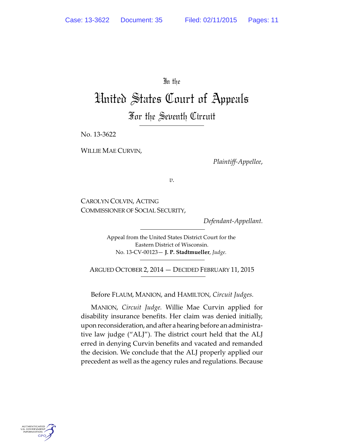In the

# United States Court of Appeals For the Seventh Circuit

No. 13-3622

WILLIE MAE CURVIN,

*Plaintiff-Appellee*,

*v.*

CAROLYN COLVIN, ACTING COMMISSIONER OF SOCIAL SECURITY,

*Defendant-Appellant.*

Appeal from the United States District Court for the Eastern District of Wisconsin. No. 13-CV-00123— **J. P. Stadtmueller**, *Judge.*

ARGUED OCTOBER 2, 2014 — DECIDED FEBRUARY 11, 2015

Before FLAUM, MANION, and HAMILTON, *Circuit Judges.*

MANION, *Circuit Judge.* Willie Mae Curvin applied for disability insurance benefits. Her claim was denied initially, upon reconsideration, andafter ahearing before an administrative law judge ("ALJ"). The district court held that the ALJ erred in denying Curvin benefits and vacated and remanded the decision. We conclude that the ALJ properly applied our precedent as well as the agency rules and regulations. Because

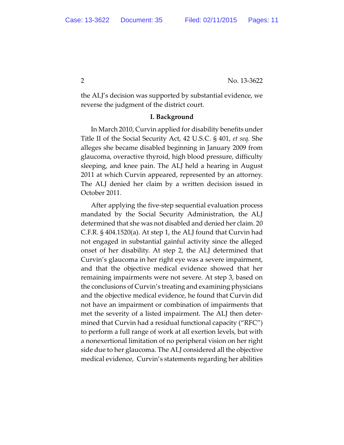the ALJ's decision was supported by substantial evidence, we reverse the judgment of the district court.

### **I. Background**

In March 2010, Curvin applied for disability benefits under Title II of the Social Security Act, 42 U.S.C. § 401, *et seq.* She alleges she became disabled beginning in January 2009 from glaucoma, overactive thyroid, high blood pressure, difficulty sleeping, and knee pain. The ALJ held a hearing in August 2011 at which Curvin appeared, represented by an attorney. The ALJ denied her claim by a written decision issued in October 2011.

After applying the five-step sequential evaluation process mandated by the Social Security Administration, the ALJ determined that she was not disabled and denied her claim. 20 C.F.R. § 404.1520(a). At step 1, the ALJ found that Curvin had not engaged in substantial gainful activity since the alleged onset of her disability. At step 2, the ALJ determined that Curvin's glaucoma in her right eye was a severe impairment, and that the objective medical evidence showed that her remaining impairments were not severe. At step 3, based on the conclusions of Curvin's treating and examining physicians and the objective medical evidence, he found that Curvin did not have an impairment or combination of impairments that met the severity of a listed impairment. The ALJ then determined that Curvin had a residual functional capacity ("RFC") to perform a full range of work at all exertion levels, but with a nonexertional limitation of no peripheral vision on her right side due to her glaucoma. The ALJ considered all the objective medical evidence, Curvin's statements regarding her abilities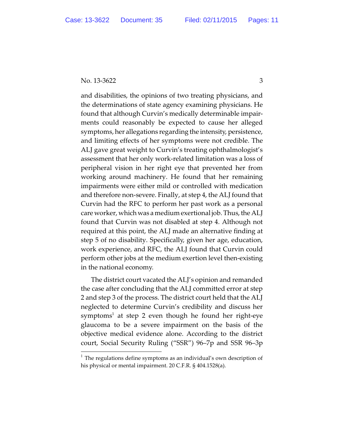and disabilities, the opinions of two treating physicians, and the determinations of state agency examining physicians. He found that although Curvin's medically determinable impairments could reasonably be expected to cause her alleged symptoms, her allegations regarding the intensity, persistence, and limiting effects of her symptoms were not credible. The ALJ gave great weight to Curvin's treating ophthalmologist's assessment that her only work-related limitation was a loss of peripheral vision in her right eye that prevented her from working around machinery. He found that her remaining impairments were either mild or controlled with medication and therefore non-severe. Finally, at step 4, the ALJ found that Curvin had the RFC to perform her past work as a personal care worker, which was a medium exertional job. Thus, the ALJ found that Curvin was not disabled at step 4. Although not required at this point, the ALJ made an alternative finding at step 5 of no disability. Specifically, given her age, education, work experience, and RFC, the ALJ found that Curvin could perform other jobs at the medium exertion level then-existing in the national economy.

The district court vacated the ALJ's opinion and remanded the case after concluding that the ALJ committed error at step 2 and step 3 of the process. The district court held that the ALJ neglected to determine Curvin's credibility and discuss her symptoms $^{\rm l}$  at step 2 even though he found her right-eye glaucoma to be a severe impairment on the basis of the objective medical evidence alone. According to the district court, Social Security Ruling ("SSR") 96–7p and SSR 96–3p

 $<sup>1</sup>$  The regulations define symptoms as an individual's own description of</sup> his physical or mental impairment. 20 C.F.R. § 404.1528(a).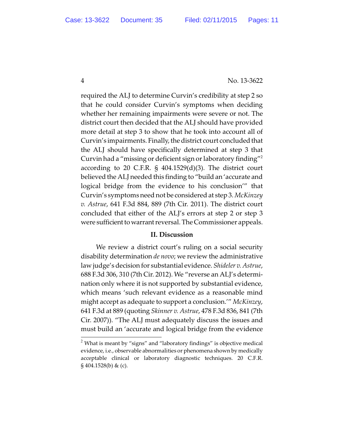required the ALJ to determine Curvin's credibility at step 2 so that he could consider Curvin's symptoms when deciding whether her remaining impairments were severe or not. The district court then decided that the ALJ should have provided more detail at step 3 to show that he took into account all of Curvin's impairments. Finally, the district court concluded that the ALJ should have specifically determined at step 3 that Curvin had a "missing or deficient sign or laboratory finding"<sup>2</sup> according to 20 C.F.R. § 404.1529(d)(3). The district court believed the ALJ needed this finding to "build an 'accurate and logical bridge from the evidence to his conclusion'" that Curvin's symptoms need not be considered at step 3. *McKinzey v. Astrue*, 641 F.3d 884, 889 (7th Cir. 2011). The district court concluded that either of the ALJ's errors at step 2 or step 3 were sufficient towarrant reversal. The Commissioner appeals.

# **II. Discussion**

We review a district court's ruling on a social security disability determination *de novo*; we review the administrative law judge's decision for substantial evidence. *Shideler v. Astrue*, 688 F.3d 306, 310 (7th Cir. 2012). We "reverse an ALJ's determination only where it is not supported by substantial evidence, which means 'such relevant evidence as a reasonable mind might accept as adequate to support a conclusion.'" *McKinzey*, 641 F.3d at 889 (quoting *Skinner v. Astrue*, 478 F.3d 836, 841 (7th Cir. 2007)). "The ALJ must adequately discuss the issues and must build an 'accurate and logical bridge from the evidence

<sup>&</sup>lt;sup>2</sup> What is meant by "signs" and "laboratory findings" is objective medical evidence, i.e., observable abnormalities or phenomena shown by medically acceptable clinical or laboratory diagnostic techniques. 20 C.F.R.  $\S 404.1528(b) \& (c).$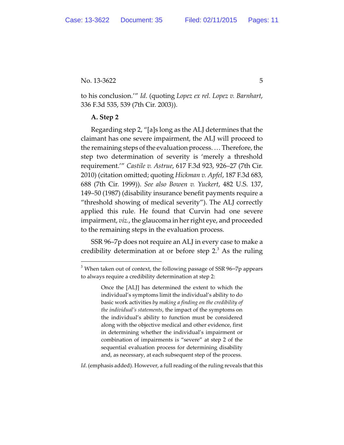to his conclusion.'" *Id*. (quoting *Lopez ex rel. Lopez v. Barnhart*, 336 F.3d 535, 539 (7th Cir. 2003)).

## **A. Step 2**

Regarding step 2, "[a]s long as the ALJ determines that the claimant has one severe impairment, the ALJ will proceed to the remaining steps of the evaluation process. … Therefore, the step two determination of severity is 'merely a threshold requirement.'" *Castile v. Astrue*, 617 F.3d 923, 926–27 (7th Cir. 2010) (citation omitted; quoting *Hickman v. Apfel*, 187 F.3d 683, 688 (7th Cir. 1999)). *See also Bowen v. Yuckert*, 482 U.S. 137, 149–50 (1987) (disability insurance benefit payments require a "threshold showing of medical severity"). The ALJ correctly applied this rule. He found that Curvin had one severe impairment, *viz.*, the glaucoma in her right eye, and proceeded to the remaining steps in the evaluation process.

SSR 96–7p does not require an ALJ in every case to make a credibility determination at or before step  $2<sup>3</sup>$  As the ruling

*Id*. (emphasis added). However, a full reading of the ruling reveals that this

 $3$  When taken out of context, the following passage of SSR 96-7p appears to always require a credibility determination at step 2:

Once the [ALJ] has determined the extent to which the individual's symptoms limit the individual's ability to do basic work activities *by making a finding on the credibility of the individual's statements*, the impact of the symptoms on the individual's ability to function must be considered along with the objective medical and other evidence, first in determining whether the individual's impairment or combination of impairments is "severe" at step 2 of the sequential evaluation process for determining disability and, as necessary, at each subsequent step of the process.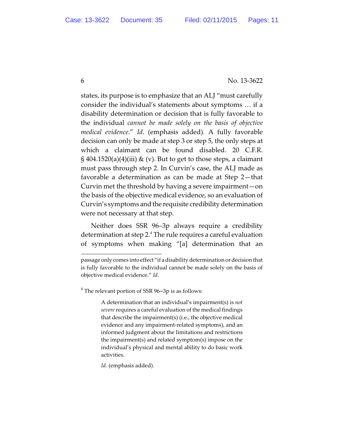states, its purpose is to emphasize that an ALJ "must carefully consider the individual's statements about symptoms … if a disability determination or decision that is fully favorable to the individual *cannot be made solely on the basis of objective medical evidence*." *Id*. (emphasis added). A fully favorable decision can only be made at step 3 or step 5, the only steps at which a claimant can be found disabled. 20 C.F.R.  $\S 404.1520(a)(4)(iii)$  & (v). But to get to those steps, a claimant must pass through step 2. In Curvin's case, the ALJ made as favorable a determination as can be made at Step 2—that Curvin met the threshold by having a severe impairment—on the basis of the objective medical evidence, so an evaluation of Curvin's symptoms and the requisite credibility determination were not necessary at that step.

Neither does SSR 96–3p always require a credibility determination at step 2. $4$  The rule requires a careful evaluation of symptoms when making "[a] determination that an

 $4$  The relevant portion of SSR 96-3p is as follows:

A determination that an individual's impairment(s) is *not severe* requires a careful evaluation of the medical findings that describe the impairment(s) (i.e., the objective medical evidence and any impairment-related symptoms), and an informed judgment about the limitations and restrictions the impairment(s) and related symptom(s) impose on the individual's physical and mental ability to do basic work activities.

*Id*. (emphasis added).

passage only comes into effect "if a disability determination or decision that is fully favorable to the individual cannot be made solely on the basis of objective medical evidence." *Id*.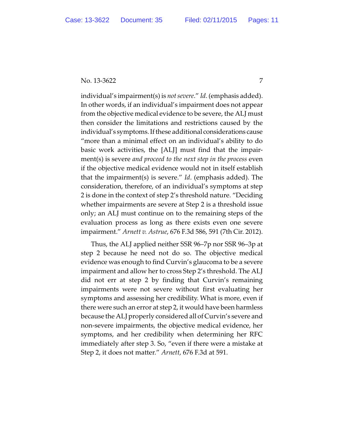individual's impairment(s) is *not severe*." *Id*. (emphasis added). In other words, if an individual's impairment does not appear from the objective medical evidence to be severe, the ALJ must then consider the limitations and restrictions caused by the individual's symptoms. If these additional considerations cause "more than a minimal effect on an individual's ability to do basic work activities, the [ALJ] must find that the impairment(s) is severe *and proceed to the next step in the process* even if the objective medical evidence would not in itself establish that the impairment(s) is severe." *Id*. (emphasis added). The consideration, therefore, of an individual's symptoms at step 2 is done in the context of step 2's threshold nature. "Deciding whether impairments are severe at Step 2 is a threshold issue only; an ALJ must continue on to the remaining steps of the evaluation process as long as there exists even one severe impairment." *Arnett v. Astrue*, 676 F.3d 586, 591 (7th Cir. 2012).

Thus, the ALJ applied neither SSR 96–7p nor SSR 96–3p at step 2 because he need not do so. The objective medical evidence was enough to find Curvin's glaucoma to be a severe impairment and allow her to cross Step 2's threshold. The ALJ did not err at step 2 by finding that Curvin's remaining impairments were not severe without first evaluating her symptoms and assessing her credibility. What is more, even if there were such an error at step 2, it would have been harmless because the ALJ properly considered all of Curvin's severe and non-severe impairments, the objective medical evidence, her symptoms, and her credibility when determining her RFC immediately after step 3. So, "even if there were a mistake at Step 2, it does not matter." *Arnett*, 676 F.3d at 591.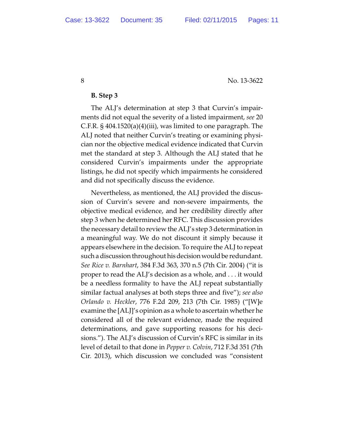### **B. Step 3**

The ALJ's determination at step 3 that Curvin's impairments did not equal the severity of a listed impairment, *see* 20 C.F.R. § 404.1520(a)(4)(iii), was limited to one paragraph. The ALJ noted that neither Curvin's treating or examining physician nor the objective medical evidence indicated that Curvin met the standard at step 3. Although the ALJ stated that he considered Curvin's impairments under the appropriate listings, he did not specify which impairments he considered and did not specifically discuss the evidence.

Nevertheless, as mentioned, the ALJ provided the discussion of Curvin's severe and non-severe impairments, the objective medical evidence, and her credibility directly after step 3 when he determined her RFC. This discussion provides the necessary detail to review the ALJ's step 3 determination in a meaningful way. We do not discount it simply because it appears elsewhere in the decision. To require the ALJ to repeat such a discussion throughout his decision would be redundant. *See Rice v. Barnhart*, 384 F.3d 363, 370 n.5 (7th Cir. 2004) ("it is proper to read the ALJ's decision as a whole, and . . . it would be a needless formality to have the ALJ repeat substantially similar factual analyses at both steps three and five"); *see also Orlando v. Heckler*, 776 F.2d 209, 213 (7th Cir. 1985) ("[W]e examine the [ALJ]'s opinion as a whole to ascertain whether he considered all of the relevant evidence, made the required determinations, and gave supporting reasons for his decisions."). The ALJ's discussion of Curvin's RFC is similar in its level of detail to that done in *Pepper v. Colvin*, 712 F.3d 351 (7th Cir. 2013), which discussion we concluded was "consistent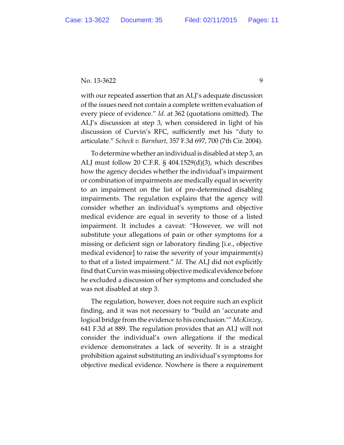with our repeated assertion that an ALJ's adequate discussion of the issues need not contain a complete written evaluation of every piece of evidence." *Id.* at 362 (quotations omitted). The ALJ's discussion at step 3, when considered in light of his discussion of Curvin's RFC, sufficiently met his "duty to articulate." *Scheck v. Barnhart*, 357 F.3d 697, 700 (7th Cir. 2004).

To determine whether an individual is disabled at step 3, an ALJ must follow 20 C.F.R. § 404.1529(d)(3), which describes how the agency decides whether the individual's impairment or combination of impairments are medically equal in severity to an impairment on the list of pre-determined disabling impairments. The regulation explains that the agency will consider whether an individual's symptoms and objective medical evidence are equal in severity to those of a listed impairment. It includes a caveat: "However, we will not substitute your allegations of pain or other symptoms for a missing or deficient sign or laboratory finding [i.e., objective medical evidence] to raise the severity of your impairment(s) to that of a listed impairment." *Id*. The ALJ did not explicitly find that Curvin was missing objective medical evidence before he excluded a discussion of her symptoms and concluded she was not disabled at step 3.

The regulation, however, does not require such an explicit finding, and it was not necessary to "build an 'accurate and logical bridge from the evidence to his conclusion.'" *McKinzey*, 641 F.3d at 889. The regulation provides that an ALJ will not consider the individual's own allegations if the medical evidence demonstrates a lack of severity. It is a straight prohibition against substituting an individual's symptoms for objective medical evidence. Nowhere is there a requirement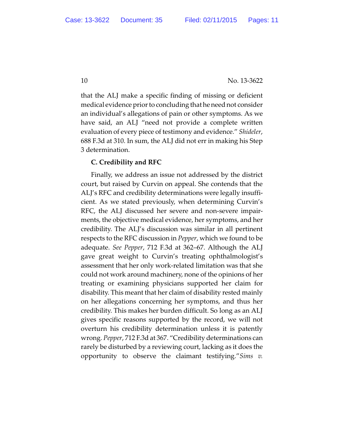that the ALJ make a specific finding of missing or deficient medical evidence prior to concluding that he need not consider an individual's allegations of pain or other symptoms. As we have said, an ALJ "need not provide a complete written evaluation of every piece of testimony and evidence." *Shideler*, 688 F.3d at 310. In sum, the ALJ did not err in making his Step 3 determination.

# **C. Credibility and RFC**

Finally, we address an issue not addressed by the district court, but raised by Curvin on appeal. She contends that the ALJ's RFC and credibility determinations were legally insufficient. As we stated previously, when determining Curvin's RFC, the ALJ discussed her severe and non-severe impairments, the objective medical evidence, her symptoms, and her credibility. The ALJ's discussion was similar in all pertinent respects to the RFC discussion in *Pepper*, which we found to be adequate. *See Pepper*, 712 F.3d at 362–67. Although the ALJ gave great weight to Curvin's treating ophthalmologist's assessment that her only work-related limitation was that she could not work around machinery, none of the opinions of her treating or examining physicians supported her claim for disability. This meant that her claim of disability rested mainly on her allegations concerning her symptoms, and thus her credibility. This makes her burden difficult. So long as an ALJ gives specific reasons supported by the record, we will not overturn his credibility determination unless it is patently wrong. *Pepper*, 712 F.3d at 367. "Credibility determinations can rarely be disturbed by a reviewing court, lacking as it does the opportunity to observe the claimant testifying."*Sims v.*